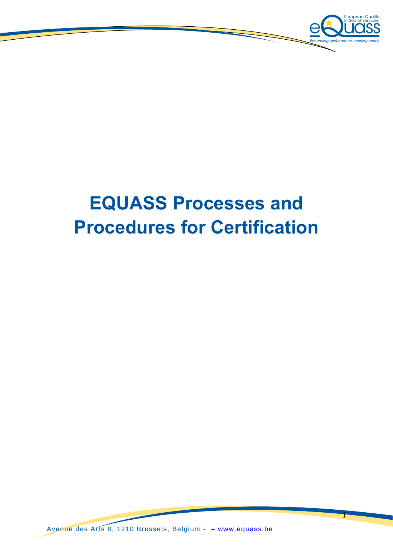

# **EQUASS Processes and Procedures for Certification**

Avenue des Arts 8, 1210 Brussels, Belgium - – [www.equass.be](http://www.equass.be/)

1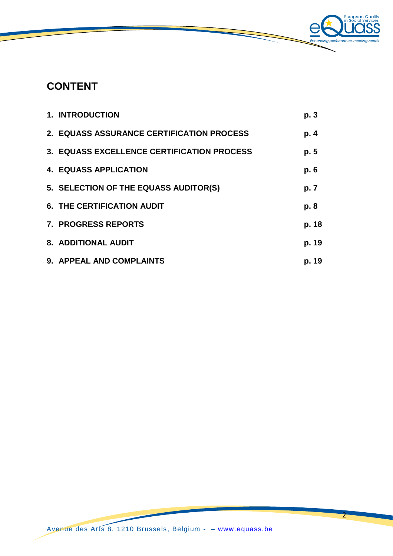

# **CONTENT**

| <b>1. INTRODUCTION</b>                     | p.3   |
|--------------------------------------------|-------|
| 2. EQUASS ASSURANCE CERTIFICATION PROCESS  | p.4   |
| 3. EQUASS EXCELLENCE CERTIFICATION PROCESS | p. 5  |
| <b>4. EQUASS APPLICATION</b>               | p.6   |
| 5. SELECTION OF THE EQUASS AUDITOR(S)      | p. 7  |
| <b>6. THE CERTIFICATION AUDIT</b>          | p. 8  |
| 7. PROGRESS REPORTS                        | p. 18 |
| 8. ADDITIONAL AUDIT                        | p. 19 |
| 9. APPEAL AND COMPLAINTS                   | p. 19 |

2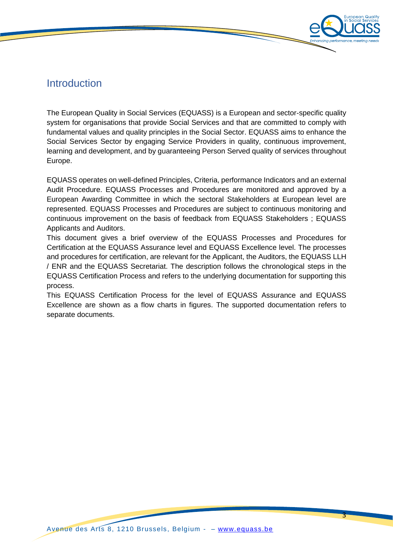

# Introduction

The European Quality in Social Services (EQUASS) is a European and sector-specific quality system for organisations that provide Social Services and that are committed to comply with fundamental values and quality principles in the Social Sector. EQUASS aims to enhance the Social Services Sector by engaging Service Providers in quality, continuous improvement, learning and development, and by guaranteeing Person Served quality of services throughout Europe.

EQUASS operates on well-defined Principles, Criteria, performance Indicators and an external Audit Procedure. EQUASS Processes and Procedures are monitored and approved by a European Awarding Committee in which the sectoral Stakeholders at European level are represented. EQUASS Processes and Procedures are subject to continuous monitoring and continuous improvement on the basis of feedback from EQUASS Stakeholders ; EQUASS Applicants and Auditors.

This document gives a brief overview of the EQUASS Processes and Procedures for Certification at the EQUASS Assurance level and EQUASS Excellence level. The processes and procedures for certification, are relevant for the Applicant, the Auditors, the EQUASS LLH / ENR and the EQUASS Secretariat. The description follows the chronological steps in the EQUASS Certification Process and refers to the underlying documentation for supporting this process.

This EQUASS Certification Process for the level of EQUASS Assurance and EQUASS Excellence are shown as a flow charts in figures. The supported documentation refers to separate documents.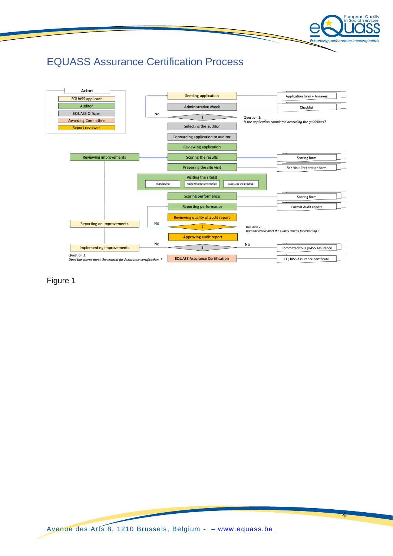

4

# EQUASS Assurance Certification Process



Figure 1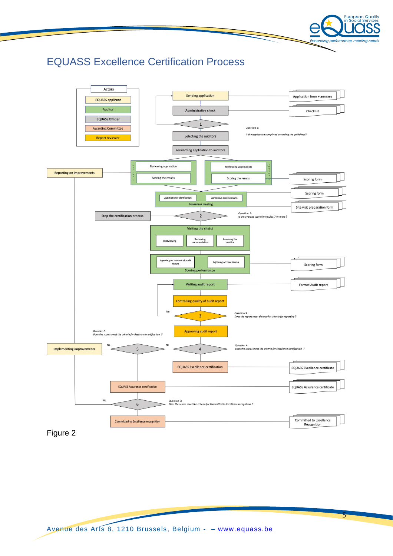

# EQUASS Excellence Certification Process



Figure 2

5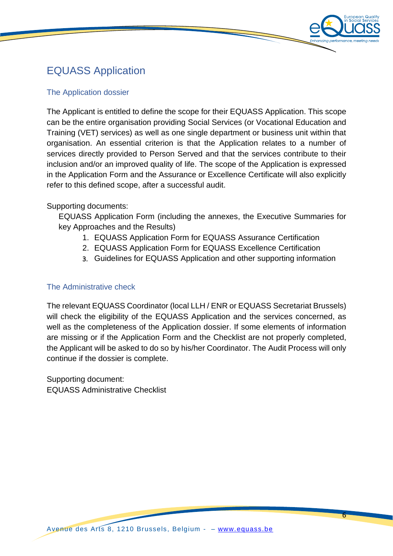

6

# EQUASS Application

#### The Application dossier

The Applicant is entitled to define the scope for their EQUASS Application. This scope can be the entire organisation providing Social Services (or Vocational Education and Training (VET) services) as well as one single department or business unit within that organisation. An essential criterion is that the Application relates to a number of services directly provided to Person Served and that the services contribute to their inclusion and/or an improved quality of life. The scope of the Application is expressed in the Application Form and the Assurance or Excellence Certificate will also explicitly refer to this defined scope, after a successful audit.

### Supporting documents:

EQUASS Application Form (including the annexes, the Executive Summaries for key Approaches and the Results)

- 1. EQUASS Application Form for EQUASS Assurance Certification
- 2. EQUASS Application Form for EQUASS Excellence Certification
- 3. Guidelines for EQUASS Application and other supporting information

### The Administrative check

The relevant EQUASS Coordinator (local LLH / ENR or EQUASS Secretariat Brussels) will check the eligibility of the EQUASS Application and the services concerned, as well as the completeness of the Application dossier. If some elements of information are missing or if the Application Form and the Checklist are not properly completed, the Applicant will be asked to do so by his/her Coordinator. The Audit Process will only continue if the dossier is complete.

Supporting document: EQUASS Administrative Checklist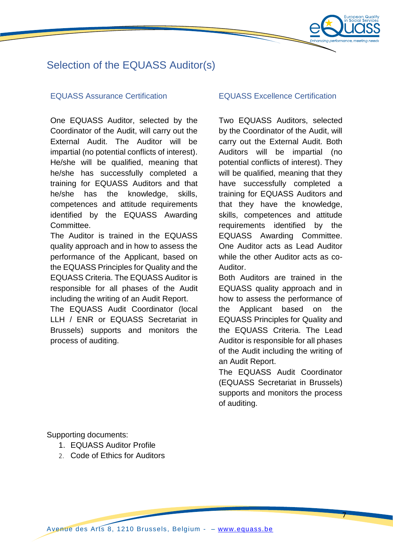

# Selection of the EQUASS Auditor(s)

#### EQUASS Assurance Certification EQUASS Excellence Certification

One EQUASS Auditor, selected by the Coordinator of the Audit, will carry out the External Audit. The Auditor will be impartial (no potential conflicts of interest). He/she will be qualified, meaning that he/she has successfully completed a training for EQUASS Auditors and that he/she has the knowledge, skills, competences and attitude requirements identified by the EQUASS Awarding Committee.

The Auditor is trained in the EQUASS quality approach and in how to assess the performance of the Applicant, based on the EQUASS Principles for Quality and the EQUASS Criteria. The EQUASS Auditor is responsible for all phases of the Audit including the writing of an Audit Report.

The EQUASS Audit Coordinator (local LLH / ENR or EQUASS Secretariat in Brussels) supports and monitors the process of auditing.

Two EQUASS Auditors, selected by the Coordinator of the Audit, will carry out the External Audit. Both Auditors will be impartial (no potential conflicts of interest). They will be qualified, meaning that they have successfully completed a training for EQUASS Auditors and that they have the knowledge, skills, competences and attitude requirements identified by the EQUASS Awarding Committee. One Auditor acts as Lead Auditor while the other Auditor acts as co-Auditor.

Both Auditors are trained in the EQUASS quality approach and in how to assess the performance of the Applicant based on the EQUASS Principles for Quality and the EQUASS Criteria. The Lead Auditor is responsible for all phases of the Audit including the writing of an Audit Report.

The EQUASS Audit Coordinator (EQUASS Secretariat in Brussels) supports and monitors the process of auditing.

7

Supporting documents:

- 1. EQUASS Auditor Profile
- 2. Code of Ethics for Auditors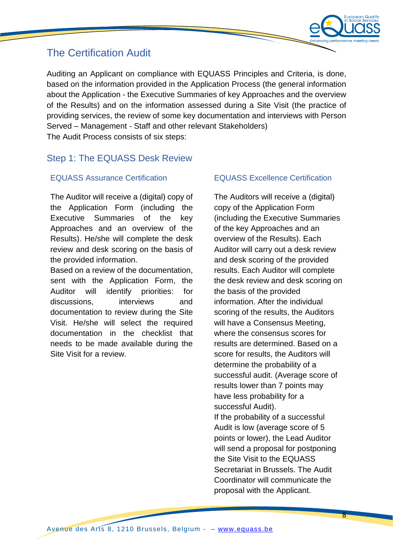

# The Certification Audit

Auditing an Applicant on compliance with EQUASS Principles and Criteria, is done, based on the information provided in the Application Process (the general information about the Application - the Executive Summaries of key Approaches and the overview of the Results) and on the information assessed during a Site Visit (the practice of providing services, the review of some key documentation and interviews with Person Served – Management - Staff and other relevant Stakeholders) The Audit Process consists of six steps:

# Step 1: The EQUASS Desk Review

The Auditor will receive a (digital) copy of the Application Form (including the Executive Summaries of the key Approaches and an overview of the Results). He/she will complete the desk review and desk scoring on the basis of the provided information.

Based on a review of the documentation, sent with the Application Form, the Auditor will identify priorities: for discussions, interviews and documentation to review during the Site Visit. He/she will select the required documentation in the checklist that needs to be made available during the Site Visit for a review.

### EQUASS Assurance Certification EQUASS Excellence Certification

The Auditors will receive a (digital) copy of the Application Form (including the Executive Summaries of the key Approaches and an overview of the Results). Each Auditor will carry out a desk review and desk scoring of the provided results. Each Auditor will complete the desk review and desk scoring on the basis of the provided information. After the individual scoring of the results, the Auditors will have a Consensus Meeting, where the consensus scores for results are determined. Based on a score for results, the Auditors will determine the probability of a successful audit. (Average score of results lower than 7 points may have less probability for a successful Audit). If the probability of a successful Audit is low (average score of 5 points or lower), the Lead Auditor will send a proposal for postponing the Site Visit to the EQUASS Secretariat in Brussels. The Audit Coordinator will communicate the proposal with the Applicant.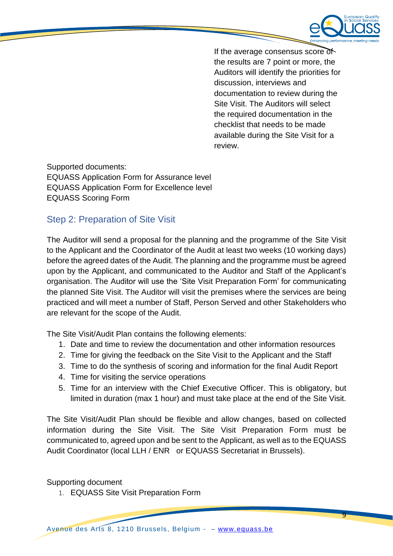

9

If the average consensus score of the results are 7 point or more, the Auditors will identify the priorities for discussion, interviews and documentation to review during the Site Visit. The Auditors will select the required documentation in the checklist that needs to be made available during the Site Visit for a review.

Supported documents: EQUASS Application Form for Assurance level EQUASS Application Form for Excellence level EQUASS Scoring Form

# Step 2: Preparation of Site Visit

The Auditor will send a proposal for the planning and the programme of the Site Visit to the Applicant and the Coordinator of the Audit at least two weeks (10 working days) before the agreed dates of the Audit. The planning and the programme must be agreed upon by the Applicant, and communicated to the Auditor and Staff of the Applicant's organisation. The Auditor will use the 'Site Visit Preparation Form' for communicating the planned Site Visit. The Auditor will visit the premises where the services are being practiced and will meet a number of Staff, Person Served and other Stakeholders who are relevant for the scope of the Audit.

The Site Visit/Audit Plan contains the following elements:

- 1. Date and time to review the documentation and other information resources
- 2. Time for giving the feedback on the Site Visit to the Applicant and the Staff
- 3. Time to do the synthesis of scoring and information for the final Audit Report
- 4. Time for visiting the service operations
- 5. Time for an interview with the Chief Executive Officer. This is obligatory, but limited in duration (max 1 hour) and must take place at the end of the Site Visit.

The Site Visit/Audit Plan should be flexible and allow changes, based on collected information during the Site Visit. The Site Visit Preparation Form must be communicated to, agreed upon and be sent to the Applicant, as well as to the EQUASS Audit Coordinator (local LLH / ENR or EQUASS Secretariat in Brussels).

Supporting document

1. EQUASS Site Visit Preparation Form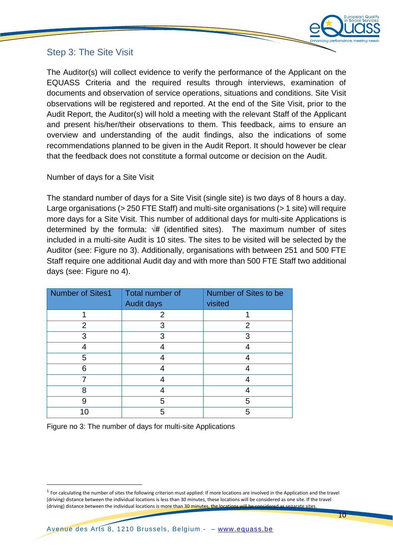

# Step 3: The Site Visit

The Auditor(s) will collect evidence to verify the performance of the Applicant on the EQUASS Criteria and the required results through interviews, examination of documents and observation of service operations, situations and conditions. Site Visit observations will be registered and reported. At the end of the Site Visit, prior to the Audit Report, the Auditor(s) will hold a meeting with the relevant Staff of the Applicant and present his/her/their observations to them. This feedback, aims to ensure an overview and understanding of the audit findings, also the indications of some recommendations planned to be given in the Audit Report. It should however be clear that the feedback does not constitute a formal outcome or decision on the Audit.

#### Number of days for a Site Visit

The standard number of days for a Site Visit (single site) is two days of 8 hours a day. Large organisations (> 250 FTE Staff) and multi-site organisations (> 1 site) will require more days for a Site Visit. This number of additional days for multi-site Applications is determined by the formula:  $\sqrt{\frac{\mu}{\mu}}$  (identified sites). The maximum number of sites included in a multi-site Audit is 10 sites. The sites to be visited will be selected by the Auditor (see: Figure no 3). Additionally, organisations with between 251 and 500 FTE Staff require one additional Audit day and with more than 500 FTE Staff two additional days (see: Figure no 4).

| Number of Sites1 | Total number of<br><b>Audit days</b> | Number of Sites to be<br>visited |
|------------------|--------------------------------------|----------------------------------|
|                  | 2                                    |                                  |
| 2                | 3                                    | 2                                |
| 3                | 3                                    | З                                |
|                  |                                      |                                  |
| 5                |                                      |                                  |
| 6                |                                      |                                  |
|                  |                                      |                                  |
| 8                |                                      |                                  |
| 9                | 5                                    | 5                                |
| 1በ               | 5                                    | 5                                |

Figure no 3: The number of days for multi-site Applications

 $\overline{a}$ 

 $<sup>1</sup>$  For calculating the number of sites the following criterion must applied: If more locations are involved in the Application and the travel</sup> (driving) distance between the individual locations is less than 30 minutes, these locations will be considered as one site. If the travel (driving) distance between the individual locations is more than 30 minutes, the locations will be considered as separate sites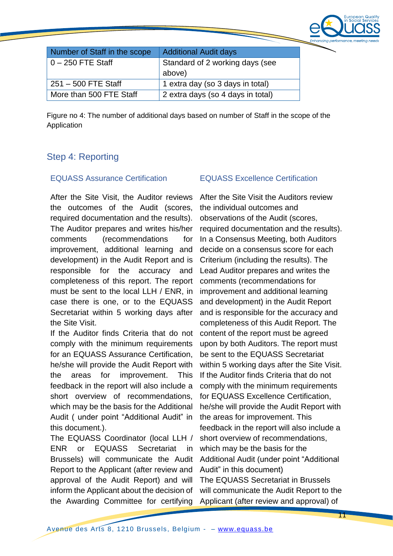

| Number of Staff in the scope | <b>Additional Audit days</b>              |
|------------------------------|-------------------------------------------|
| $0 - 250$ FTE Staff          | Standard of 2 working days (see<br>above) |
| $251 - 500$ FTE Staff        | 1 extra day (so 3 days in total)          |
| More than 500 FTE Staff      | 2 extra days (so 4 days in total)         |

Figure no 4: The number of additional days based on number of Staff in the scope of the Application

### Step 4: Reporting

#### EQUASS Assurance Certification EQUASS Excellence Certification

After the Site Visit, the Auditor reviews the outcomes of the Audit (scores, required documentation and the results). The Auditor prepares and writes his/her comments (recommendations for improvement, additional learning and development) in the Audit Report and is responsible for the accuracy and completeness of this report. The report must be sent to the local LLH / ENR, in case there is one, or to the EQUASS Secretariat within 5 working days after the Site Visit.

If the Auditor finds Criteria that do not comply with the minimum requirements for an EQUASS Assurance Certification, he/she will provide the Audit Report with the areas for improvement. This feedback in the report will also include a short overview of recommendations, which may be the basis for the Additional Audit ( under point "Additional Audit" in this document.).

The EQUASS Coordinator (local LLH / ENR or EQUASS Secretariat in Brussels) will communicate the Audit Report to the Applicant (after review and approval of the Audit Report) and will inform the Applicant about the decision of the Awarding Committee for certifying

After the Site Visit the Auditors review the individual outcomes and observations of the Audit (scores, required documentation and the results). In a Consensus Meeting, both Auditors decide on a consensus score for each Criterium (including the results). The Lead Auditor prepares and writes the comments (recommendations for improvement and additional learning and development) in the Audit Report and is responsible for the accuracy and completeness of this Audit Report. The content of the report must be agreed upon by both Auditors. The report must be sent to the EQUASS Secretariat within 5 working days after the Site Visit. If the Auditor finds Criteria that do not comply with the minimum requirements for EQUASS Excellence Certification, he/she will provide the Audit Report with the areas for improvement. This feedback in the report will also include a short overview of recommendations, which may be the basis for the Additional Audit (under point "Additional Audit" in this document) The EQUASS Secretariat in Brussels will communicate the Audit Report to the Applicant (after review and approval) of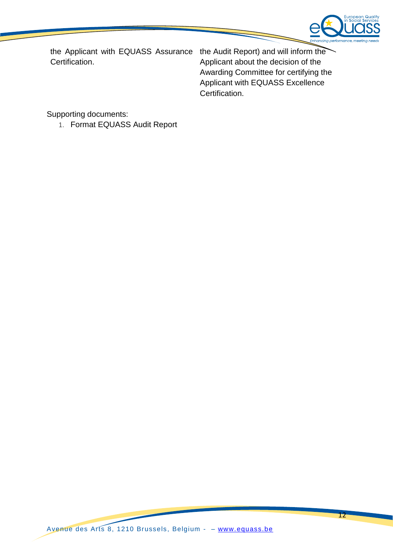

the Applicant with EQUASS Assurance the Audit Report) and will inform the Certification.

Applicant about the decision of the Awarding Committee for certifying the Applicant with EQUASS Excellence Certification.

Supporting documents:

1. Format EQUASS Audit Report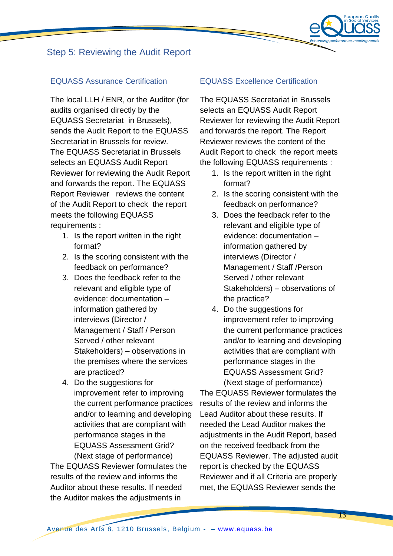# Step 5: Reviewing the Audit Report

#### EQUASS Assurance Certification EQUASS Excellence Certification

The local LLH / ENR, or the Auditor (for audits organised directly by the EQUASS Secretariat in Brussels), sends the Audit Report to the EQUASS Secretariat in Brussels for review. The EQUASS Secretariat in Brussels selects an EQUASS Audit Report Reviewer for reviewing the Audit Report and forwards the report. The EQUASS Report Reviewer reviews the content of the Audit Report to check the report meets the following EQUASS requirements :

- 1. Is the report written in the right format?
- 2. Is the scoring consistent with the feedback on performance?
- 3. Does the feedback refer to the relevant and eligible type of evidence: documentation – information gathered by interviews (Director / Management / Staff / Person Served / other relevant Stakeholders) – observations in the premises where the services are practiced?
- 4. Do the suggestions for improvement refer to improving the current performance practices and/or to learning and developing activities that are compliant with performance stages in the EQUASS Assessment Grid? (Next stage of performance)

The EQUASS Reviewer formulates the results of the review and informs the Auditor about these results. If needed the Auditor makes the adjustments in

The EQUASS Secretariat in Brussels selects an EQUASS Audit Report Reviewer for reviewing the Audit Report and forwards the report. The Report Reviewer reviews the content of the Audit Report to check the report meets the following EQUASS requirements :

- 1. Is the report written in the right format?
- 2. Is the scoring consistent with the feedback on performance?
- 3. Does the feedback refer to the relevant and eligible type of evidence: documentation – information gathered by interviews (Director / Management / Staff /Person Served / other relevant Stakeholders) – observations of the practice?
- 4. Do the suggestions for improvement refer to improving the current performance practices and/or to learning and developing activities that are compliant with performance stages in the EQUASS Assessment Grid? (Next stage of performance)

The EQUASS Reviewer formulates the results of the review and informs the Lead Auditor about these results. If needed the Lead Auditor makes the adjustments in the Audit Report, based on the received feedback from the EQUASS Reviewer. The adjusted audit report is checked by the EQUASS Reviewer and if all Criteria are properly met, the EQUASS Reviewer sends the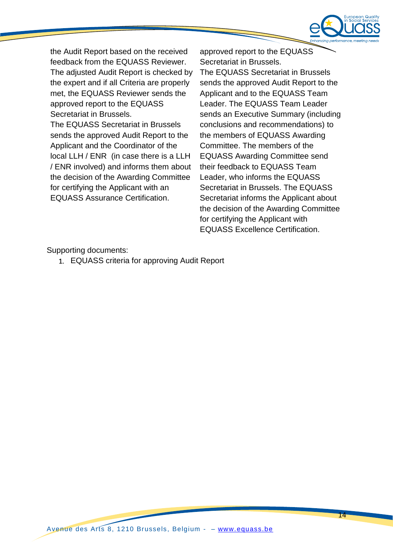

the Audit Report based on the received feedback from the EQUASS Reviewer. The adjusted Audit Report is checked by the expert and if all Criteria are properly met, the EQUASS Reviewer sends the approved report to the EQUASS Secretariat in Brussels. The EQUASS Secretariat in Brussels

sends the approved Audit Report to the Applicant and the Coordinator of the local LLH / ENR (in case there is a LLH / ENR involved) and informs them about the decision of the Awarding Committee for certifying the Applicant with an EQUASS Assurance Certification.

approved report to the EQUASS Secretariat in Brussels. The EQUASS Secretariat in Brussels sends the approved Audit Report to the Applicant and to the EQUASS Team Leader. The EQUASS Team Leader sends an Executive Summary (including conclusions and recommendations) to the members of EQUASS Awarding Committee. The members of the EQUASS Awarding Committee send their feedback to EQUASS Team Leader, who informs the EQUASS Secretariat in Brussels. The EQUASS Secretariat informs the Applicant about the decision of the Awarding Committee for certifying the Applicant with EQUASS Excellence Certification.

Supporting documents:

1. EQUASS criteria for approving Audit Report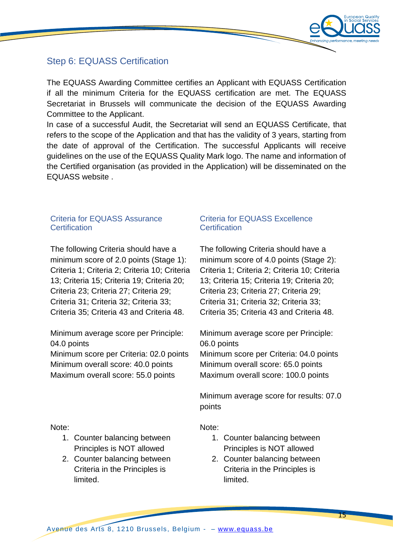

# Step 6: EQUASS Certification

The EQUASS Awarding Committee certifies an Applicant with EQUASS Certification if all the minimum Criteria for the EQUASS certification are met. The EQUASS Secretariat in Brussels will communicate the decision of the EQUASS Awarding Committee to the Applicant.

In case of a successful Audit, the Secretariat will send an EQUASS Certificate, that refers to the scope of the Application and that has the validity of 3 years, starting from the date of approval of the Certification. The successful Applicants will receive guidelines on the use of the EQUASS Quality Mark logo. The name and information of the Certified organisation (as provided in the Application) will be disseminated on the EQUASS website .

#### Criteria for EQUASS Assurance **Certification**

The following Criteria should have a minimum score of 2.0 points (Stage 1): Criteria 1; Criteria 2; Criteria 10; Criteria 13; Criteria 15; Criteria 19; Criteria 20; Criteria 23; Criteria 27; Criteria 29; Criteria 31; Criteria 32; Criteria 33; Criteria 35; Criteria 43 and Criteria 48.

Minimum average score per Principle: 04.0 points Minimum score per Criteria: 02.0 points

Minimum overall score: 40.0 points Maximum overall score: 55.0 points

#### Criteria for EQUASS Excellence **Certification**

The following Criteria should have a minimum score of 4.0 points (Stage 2): Criteria 1; Criteria 2; Criteria 10; Criteria 13; Criteria 15; Criteria 19; Criteria 20; Criteria 23; Criteria 27; Criteria 29; Criteria 31; Criteria 32; Criteria 33; Criteria 35; Criteria 43 and Criteria 48.

Minimum average score per Principle: 06.0 points

Minimum score per Criteria: 04.0 points Minimum overall score: 65.0 points Maximum overall score: 100.0 points

Minimum average score for results: 07.0 points

Note:

- 1. Counter balancing between Principles is NOT allowed
	- 2. Counter balancing between Criteria in the Principles is limited.

Note:

- 1. Counter balancing between Principles is NOT allowed
- 2. Counter balancing between Criteria in the Principles is limited.

Avenue des Arts 8, 1210 Brussels, Belgium - – [www.equass.be](http://www.equass.be/)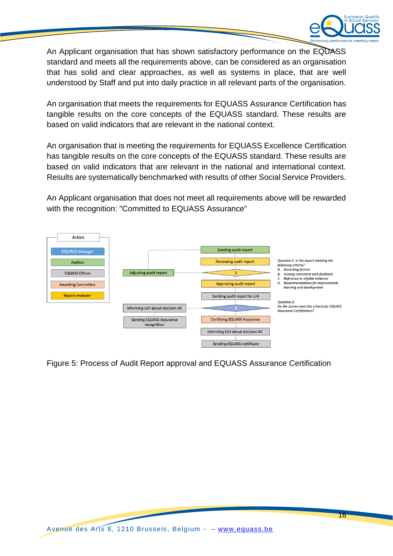

An Applicant organisation that has shown satisfactory performance on the EQUASS standard and meets all the requirements above, can be considered as an organisation that has solid and clear approaches, as well as systems in place, that are well understood by Staff and put into daily practice in all relevant parts of the organisation.

An organisation that meets the requirements for EQUASS Assurance Certification has tangible results on the core concepts of the EQUASS standard. These results are based on valid indicators that are relevant in the national context.

An organisation that is meeting the requirements for EQUASS Excellence Certification has tangible results on the core concepts of the EQUASS standard. These results are based on valid indicators that are relevant in the national and international context. Results are systematically benchmarked with results of other Social Service Providers.

An Applicant organisation that does not meet all requirements above will be rewarded with the recognition: "Committed to EQUASS Assurance"



Figure 5: Process of Audit Report approval and EQUASS Assurance Certification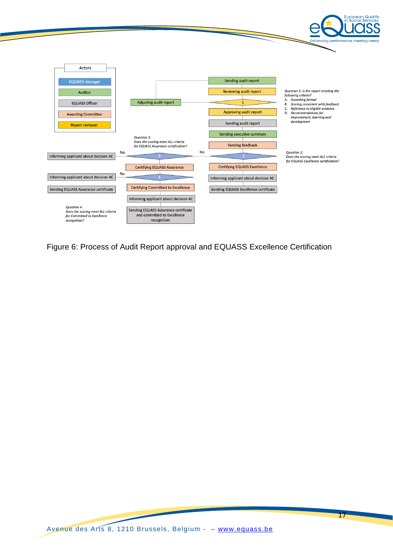

Figure 6: Process of Audit Report approval and EQUASS Excellence Certification

17

Quality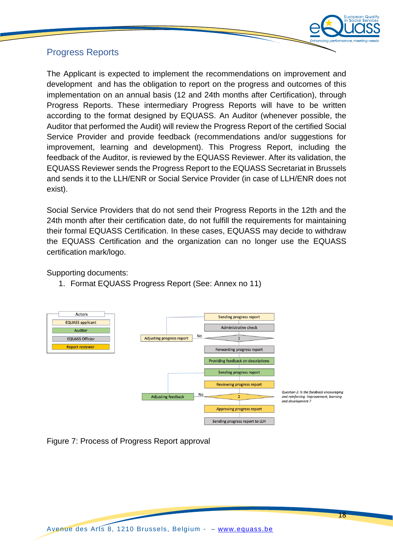

# Progress Reports

The Applicant is expected to implement the recommendations on improvement and development and has the obligation to report on the progress and outcomes of this implementation on an annual basis (12 and 24th months after Certification), through Progress Reports. These intermediary Progress Reports will have to be written according to the format designed by EQUASS. An Auditor (whenever possible, the Auditor that performed the Audit) will review the Progress Report of the certified Social Service Provider and provide feedback (recommendations and/or suggestions for improvement, learning and development). This Progress Report, including the feedback of the Auditor, is reviewed by the EQUASS Reviewer. After its validation, the EQUASS Reviewer sends the Progress Report to the EQUASS Secretariat in Brussels and sends it to the LLH/ENR or Social Service Provider (in case of LLH/ENR does not exist).

Social Service Providers that do not send their Progress Reports in the 12th and the 24th month after their certification date, do not fulfill the requirements for maintaining their formal EQUASS Certification. In these cases, EQUASS may decide to withdraw the EQUASS Certification and the organization can no longer use the EQUASS certification mark/logo.

Supporting documents:

1. Format EQUASS Progress Report (See: Annex no 11)



Figure 7: Process of Progress Report approval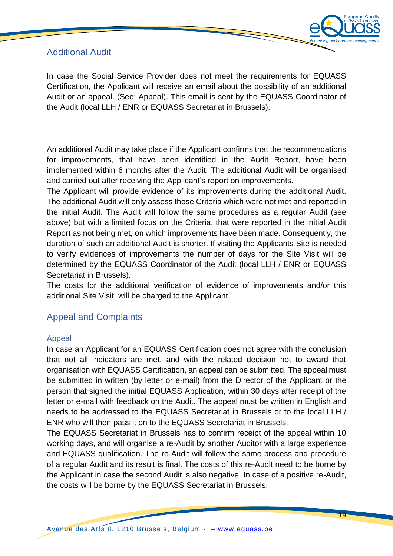# Additional Audit



In case the Social Service Provider does not meet the requirements for EQUASS Certification, the Applicant will receive an email about the possibility of an additional Audit or an appeal. (See: Appeal). This email is sent by the EQUASS Coordinator of the Audit (local LLH / ENR or EQUASS Secretariat in Brussels).

An additional Audit may take place if the Applicant confirms that the recommendations for improvements, that have been identified in the Audit Report, have been implemented within 6 months after the Audit. The additional Audit will be organised and carried out after receiving the Applicant's report on improvements.

The Applicant will provide evidence of its improvements during the additional Audit. The additional Audit will only assess those Criteria which were not met and reported in the initial Audit. The Audit will follow the same procedures as a regular Audit (see above) but with a limited focus on the Criteria, that were reported in the initial Audit Report as not being met, on which improvements have been made. Consequently, the duration of such an additional Audit is shorter. If visiting the Applicants Site is needed to verify evidences of improvements the number of days for the Site Visit will be determined by the EQUASS Coordinator of the Audit (local LLH / ENR or EQUASS Secretariat in Brussels).

The costs for the additional verification of evidence of improvements and/or this additional Site Visit, will be charged to the Applicant.

# Appeal and Complaints

#### Appeal

In case an Applicant for an EQUASS Certification does not agree with the conclusion that not all indicators are met, and with the related decision not to award that organisation with EQUASS Certification, an appeal can be submitted. The appeal must be submitted in written (by letter or e-mail) from the Director of the Applicant or the person that signed the initial EQUASS Application, within 30 days after receipt of the letter or e-mail with feedback on the Audit. The appeal must be written in English and needs to be addressed to the EQUASS Secretariat in Brussels or to the local LLH / ENR who will then pass it on to the EQUASS Secretariat in Brussels.

The EQUASS Secretariat in Brussels has to confirm receipt of the appeal within 10 working days, and will organise a re-Audit by another Auditor with a large experience and EQUASS qualification. The re-Audit will follow the same process and procedure of a regular Audit and its result is final. The costs of this re-Audit need to be borne by the Applicant in case the second Audit is also negative. In case of a positive re-Audit, the costs will be borne by the EQUASS Secretariat in Brussels.